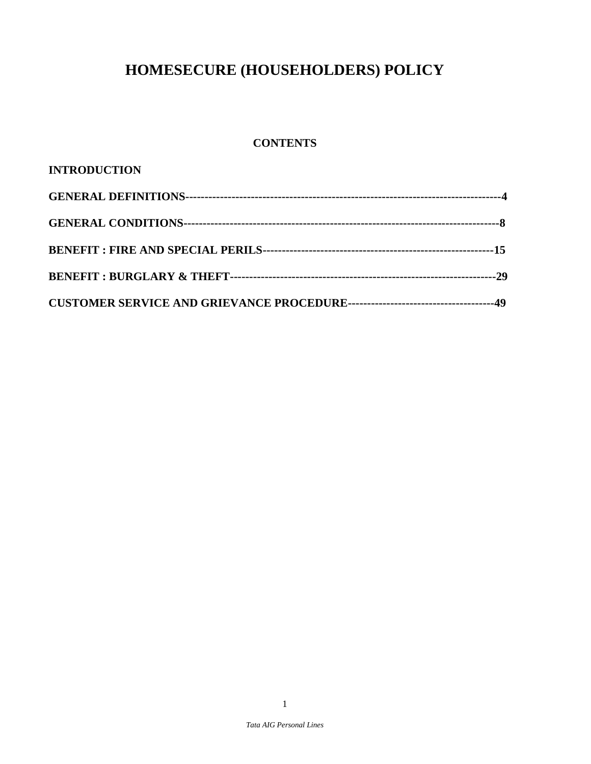# **HOMESECURE (HOUSEHOLDERS) POLICY**

## **CONTENTS**

| <b>INTRODUCTION</b> |  |
|---------------------|--|
|                     |  |
|                     |  |
|                     |  |
|                     |  |
|                     |  |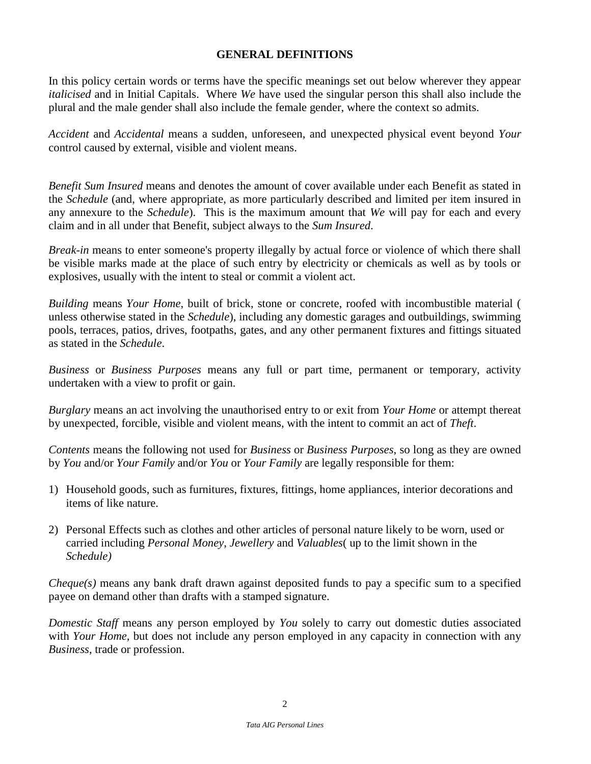#### **GENERAL DEFINITIONS**

In this policy certain words or terms have the specific meanings set out below wherever they appear *italicised* and in Initial Capitals. Where *We* have used the singular person this shall also include the plural and the male gender shall also include the female gender, where the context so admits.

*Accident* and *Accidental* means a sudden, unforeseen, and unexpected physical event beyond *Your*  control caused by external, visible and violent means.

*Benefit Sum Insured* means and denotes the amount of cover available under each Benefit as stated in the *Schedule* (and, where appropriate, as more particularly described and limited per item insured in any annexure to the *Schedule*). This is the maximum amount that *We* will pay for each and every claim and in all under that Benefit, subject always to the *Sum Insured*.

*Break-in* means to enter someone's property illegally by actual force or violence of which there shall be visible marks made at the place of such entry by electricity or chemicals as well as by tools or explosives, usually with the intent to steal or commit a violent act.

*Building* means *Your Home*, built of brick, stone or concrete, roofed with incombustible material ( unless otherwise stated in the *Schedule*), including any domestic garages and outbuildings, swimming pools, terraces, patios, drives, footpaths, gates, and any other permanent fixtures and fittings situated as stated in the *Schedule*.

*Business* or *Business Purposes* means any full or part time, permanent or temporary, activity undertaken with a view to profit or gain.

*Burglary* means an act involving the unauthorised entry to or exit from *Your Home* or attempt thereat by unexpected, forcible, visible and violent means, with the intent to commit an act of *Theft*.

*Contents* means the following not used for *Business* or *Business Purposes*, so long as they are owned by *You* and/or *Your Family* and/or *You* or *Your Family* are legally responsible for them:

- 1) Household goods, such as furnitures, fixtures, fittings, home appliances, interior decorations and items of like nature.
- 2) Personal Effects such as clothes and other articles of personal nature likely to be worn, used or carried including *Personal Money*, *Jewellery* and *Valuables*( up to the limit shown in the *Schedule)*

*Cheque(s)* means any bank draft drawn against deposited funds to pay a specific sum to a specified payee on demand other than drafts with a stamped signature.

*Domestic Staff* means any person employed by *You* solely to carry out domestic duties associated with *Your Home,* but does not include any person employed in any capacity in connection with any *Business*, trade or profession.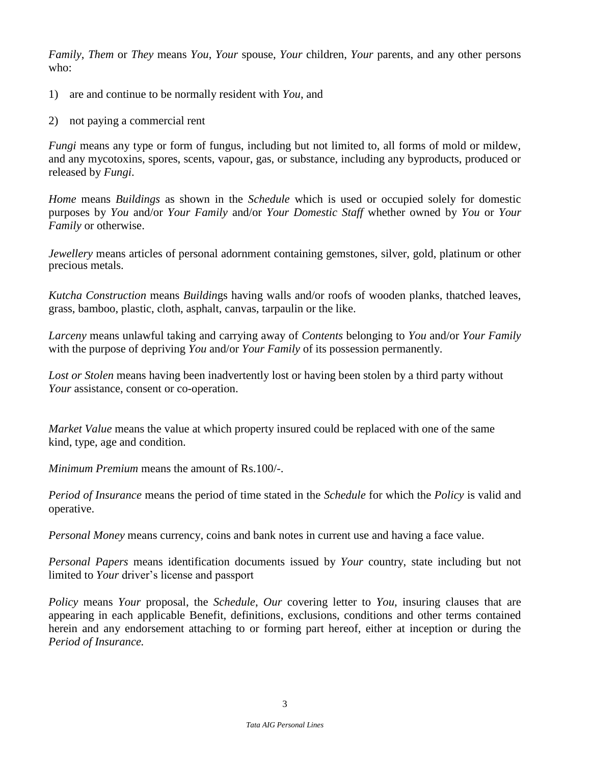*Family*, *Them* or *They* means *You*, *Your* spouse, *Your* children, *Your* parents, and any other persons who:

- 1) are and continue to be normally resident with *You*, and
- 2) not paying a commercial rent

*Fungi* means any type or form of fungus, including but not limited to, all forms of mold or mildew, and any mycotoxins, spores, scents, vapour, gas, or substance, including any byproducts, produced or released by *Fungi*.

*Home* means *Buildings* as shown in the *Schedule* which is used or occupied solely for domestic purposes by *You* and/or *Your Family* and/or *Your Domestic Staff* whether owned by *You* or *Your Family* or otherwise.

*Jewellery* means articles of personal adornment containing gemstones, silver, gold, platinum or other precious metals.

*Kutcha Construction* means *Buildin*gs having walls and/or roofs of wooden planks, thatched leaves, grass, bamboo, plastic, cloth, asphalt, canvas, tarpaulin or the like.

*Larceny* means unlawful taking and carrying away of *Contents* belonging to *You* and/or *Your Family* with the purpose of depriving *You* and/or *Your Family* of its possession permanently.

*Lost or Stolen* means having been inadvertently lost or having been stolen by a third party without *Your* assistance, consent or co-operation.

*Market Value* means the value at which property insured could be replaced with one of the same kind, type, age and condition.

*Minimum Premium* means the amount of Rs.100/-.

*Period of Insurance* means the period of time stated in the *Schedule* for which the *Policy* is valid and operative.

*Personal Money* means currency, coins and bank notes in current use and having a face value.

*Personal Papers* means identification documents issued by *Your* country, state including but not limited to *Your* driver's license and passport

*Policy* means *Your* proposal, the *Schedule*, *Our* covering letter to *You*, insuring clauses that are appearing in each applicable Benefit, definitions, exclusions, conditions and other terms contained herein and any endorsement attaching to or forming part hereof, either at inception or during the *Period of Insurance.*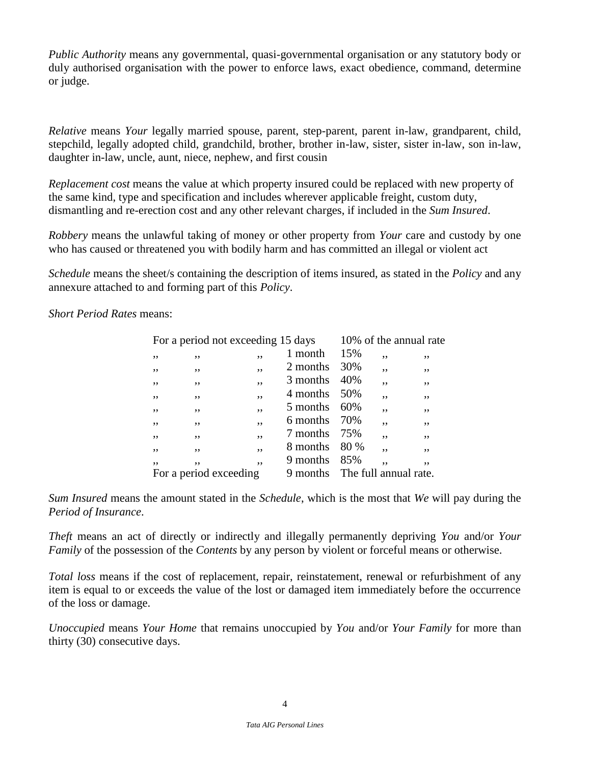*Public Authority* means any governmental, quasi-governmental organisation or any statutory body or duly authorised organisation with the power to enforce laws, exact obedience, command, determine or judge.

*Relative* means *Your* legally married spouse, parent, step-parent, parent in-law, grandparent, child, stepchild, legally adopted child, grandchild, brother, brother in-law, sister, sister in-law, son in-law, daughter in-law, uncle, aunt, niece, nephew, and first cousin

*Replacement cost* means the value at which property insured could be replaced with new property of the same kind, type and specification and includes wherever applicable freight, custom duty, dismantling and re-erection cost and any other relevant charges, if included in the *Sum Insured*.

*Robbery* means the unlawful taking of money or other property from *Your* care and custody by one who has caused or threatened you with bodily harm and has committed an illegal or violent act

*Schedule* means the sheet/s containing the description of items insured, as stated in the *Policy* and any annexure attached to and forming part of this *Policy*.

*Short Period Rates* means:

|                        | For a period not exceeding 15 days |    |          |                       |    | 10% of the annual rate |
|------------------------|------------------------------------|----|----------|-----------------------|----|------------------------|
| ,,                     | ,,                                 | ,, | 1 month  | 15%                   | ,, | ,,                     |
| ,,                     | ,,                                 | ,, | 2 months | 30%                   | ,, | ,,                     |
| ,,                     | ,,                                 | ,, | 3 months | 40%                   | ,, | ,,                     |
| ,,                     | ,,                                 | ,, | 4 months | 50%                   | ,, | ,,                     |
| ,,                     | ,,                                 | ,, | 5 months | 60%                   | ,, | ,,                     |
| ,,                     | ,,                                 | ,, | 6 months | 70%                   | ,, | ,,                     |
| ,,                     | ,,                                 | ,, | 7 months | 75%                   | ,, | ,,                     |
| ,,                     | ,,                                 | ,, | 8 months | 80 %                  | ,, | ,,                     |
| ,,                     | ,,                                 | ,, | 9 months | 85%                   | ,, | ,,                     |
| For a period exceeding |                                    |    | 9 months | The full annual rate. |    |                        |

*Sum Insured* means the amount stated in the *Schedule*, which is the most that *We* will pay during the *Period of Insurance*.

*Theft* means an act of directly or indirectly and illegally permanently depriving *You* and/or *Your Family* of the possession of the *Contents* by any person by violent or forceful means or otherwise.

*Total loss* means if the cost of replacement, repair, reinstatement, renewal or refurbishment of any item is equal to or exceeds the value of the lost or damaged item immediately before the occurrence of the loss or damage.

*Unoccupied* means *Your Home* that remains unoccupied by *You* and/or *Your Family* for more than thirty (30) consecutive days.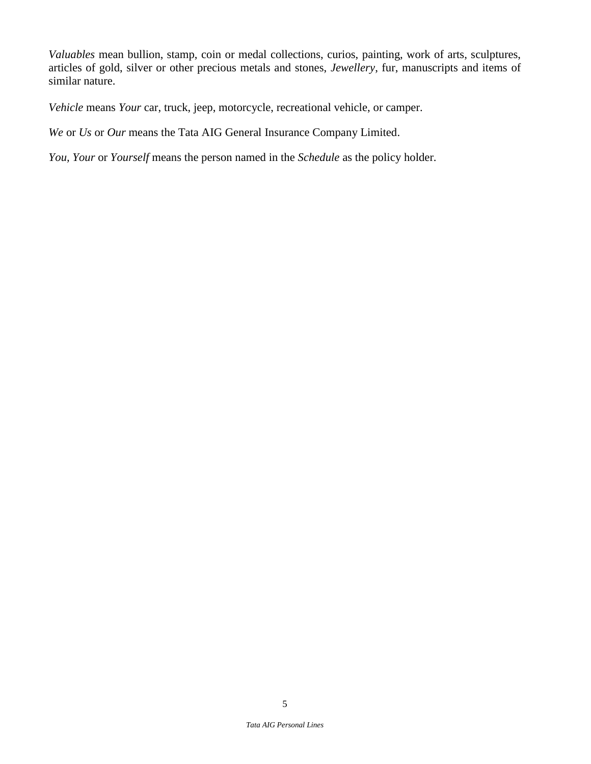*Valuables* mean bullion, stamp, coin or medal collections, curios, painting, work of arts, sculptures, articles of gold, silver or other precious metals and stones, *Jewellery*, fur, manuscripts and items of similar nature.

*Vehicle* means *Your* car, truck, jeep, motorcycle, recreational vehicle, or camper.

*We* or *Us* or *Our* means the Tata AIG General Insurance Company Limited.

*You, Your* or *Yourself* means the person named in the *Schedule* as the policy holder.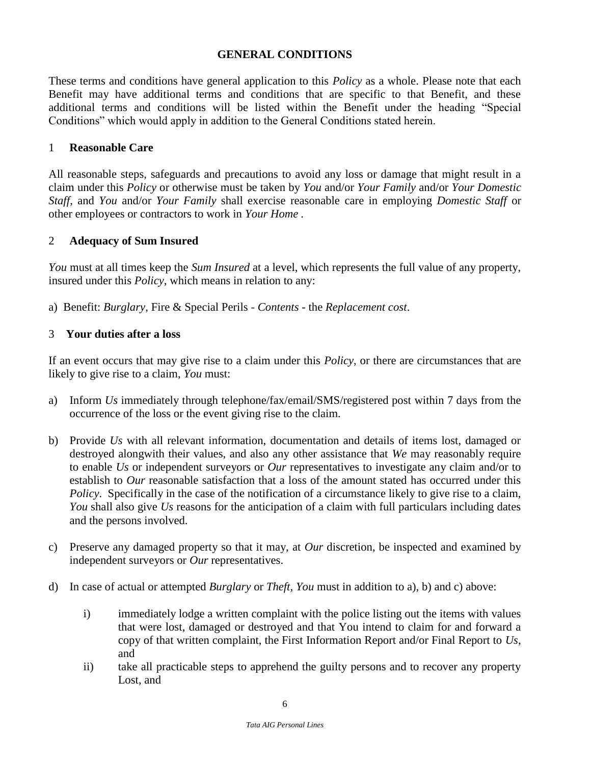#### **GENERAL CONDITIONS**

These terms and conditions have general application to this *Policy* as a whole. Please note that each Benefit may have additional terms and conditions that are specific to that Benefit, and these additional terms and conditions will be listed within the Benefit under the heading "Special Conditions" which would apply in addition to the General Conditions stated herein.

#### 1 **Reasonable Care**

All reasonable steps, safeguards and precautions to avoid any loss or damage that might result in a claim under this *Policy* or otherwise must be taken by *You* and/or *Your Family* and/or *Your Domestic Staff*, and *You* and/or *Your Family* shall exercise reasonable care in employing *Domestic Staff* or other employees or contractors to work in *Your Home .*

#### 2 **Adequacy of Sum Insured**

*You* must at all times keep the *Sum Insured* at a level, which represents the full value of any property, insured under this *Policy*, which means in relation to any:

a) Benefit: *Burglary*, Fire & Special Perils - *Contents* - the *Replacement cost*.

#### 3 **Your duties after a loss**

If an event occurs that may give rise to a claim under this *Policy*, or there are circumstances that are likely to give rise to a claim, *You* must:

- a) Inform *Us* immediately through telephone/fax/email/SMS/registered post within 7 days from the occurrence of the loss or the event giving rise to the claim*.*
- b) Provide *Us* with all relevant information, documentation and details of items lost, damaged or destroyed alongwith their values, and also any other assistance that *We* may reasonably require to enable *Us* or independent surveyors or *Our* representatives to investigate any claim and/or to establish to *Our* reasonable satisfaction that a loss of the amount stated has occurred under this *Policy*. Specifically in the case of the notification of a circumstance likely to give rise to a claim, *You* shall also give *Us* reasons for the anticipation of a claim with full particulars including dates and the persons involved.
- c) Preserve any damaged property so that it may, at *Our* discretion, be inspected and examined by independent surveyors or *Our* representatives.
- d) In case of actual or attempted *Burglary* or *Theft*, *You* must in addition to a), b) and c) above:
	- i) immediately lodge a written complaint with the police listing out the items with values that were lost, damaged or destroyed and that You intend to claim for and forward a copy of that written complaint, the First Information Report and/or Final Report to *Us*, and
	- ii) take all practicable steps to apprehend the guilty persons and to recover any property Lost, and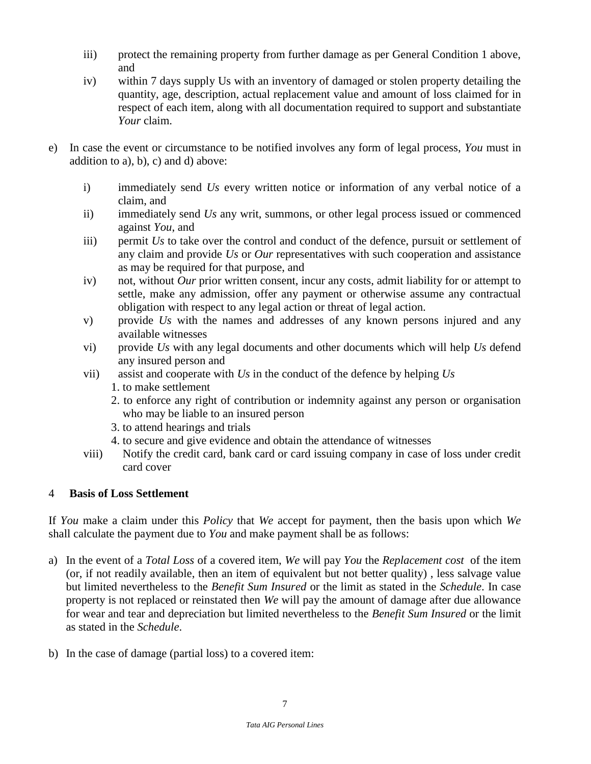- iii) protect the remaining property from further damage as per General Condition 1 above, and
- iv) within 7 days supply Us with an inventory of damaged or stolen property detailing the quantity, age, description, actual replacement value and amount of loss claimed for in respect of each item, along with all documentation required to support and substantiate *Your* claim.
- e) In case the event or circumstance to be notified involves any form of legal process, *You* must in addition to a), b), c) and d) above:
	- i) immediately send *Us* every written notice or information of any verbal notice of a claim, and
	- ii) immediately send *Us* any writ, summons, or other legal process issued or commenced against *You*, and
	- iii) permit *Us* to take over the control and conduct of the defence, pursuit or settlement of any claim and provide *Us* or *Our* representatives with such cooperation and assistance as may be required for that purpose, and
	- iv) not, without *Our* prior written consent, incur any costs, admit liability for or attempt to settle, make any admission, offer any payment or otherwise assume any contractual obligation with respect to any legal action or threat of legal action.
	- v) provide *Us* with the names and addresses of any known persons injured and any available witnesses
	- vi) provide *Us* with any legal documents and other documents which will help *Us* defend any insured person and
	- vii) assist and cooperate with *Us* in the conduct of the defence by helping *Us*
		- 1. to make settlement
		- 2. to enforce any right of contribution or indemnity against any person or organisation who may be liable to an insured person
		- 3. to attend hearings and trials
		- 4. to secure and give evidence and obtain the attendance of witnesses
	- viii) Notify the credit card, bank card or card issuing company in case of loss under credit card cover

## 4 **Basis of Loss Settlement**

If *You* make a claim under this *Policy* that *We* accept for payment, then the basis upon which *We*  shall calculate the payment due to *You* and make payment shall be as follows:

- a) In the event of a *Total Loss* of a covered item, *We* will pay *You* the *Replacement cost* of the item (or, if not readily available, then an item of equivalent but not better quality) , less salvage value but limited nevertheless to the *Benefit Sum Insured* or the limit as stated in the *Schedule*. In case property is not replaced or reinstated then *We* will pay the amount of damage after due allowance for wear and tear and depreciation but limited nevertheless to the *Benefit Sum Insured* or the limit as stated in the *Schedule*.
- b) In the case of damage (partial loss) to a covered item: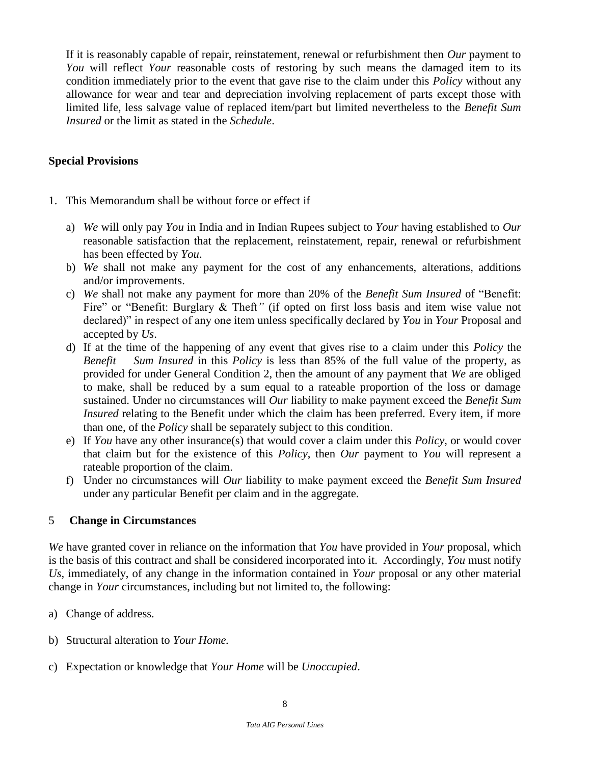If it is reasonably capable of repair, reinstatement, renewal or refurbishment then *Our* payment to *You* will reflect *Your* reasonable costs of restoring by such means the damaged item to its condition immediately prior to the event that gave rise to the claim under this *Policy* without any allowance for wear and tear and depreciation involving replacement of parts except those with limited life, less salvage value of replaced item/part but limited nevertheless to the *Benefit Sum Insured* or the limit as stated in the *Schedule*.

## **Special Provisions**

- 1. This Memorandum shall be without force or effect if
	- a) *We* will only pay *You* in India and in Indian Rupees subject to *Your* having established to *Our*  reasonable satisfaction that the replacement, reinstatement, repair, renewal or refurbishment has been effected by *You*.
	- b) *We* shall not make any payment for the cost of any enhancements, alterations, additions and/or improvements.
	- c) *We* shall not make any payment for more than 20% of the *Benefit Sum Insured* of "Benefit: Fire" or "Benefit: Burglary & Theft" (if opted on first loss basis and item wise value not declared)" in respect of any one item unless specifically declared by *You* in *Your* Proposal and accepted by *Us*.
	- d) If at the time of the happening of any event that gives rise to a claim under this *Policy* the *Benefit* Sum Insured in this *Policy* is less than 85% of the full value of the property, as provided for under General Condition 2, then the amount of any payment that *We* are obliged to make, shall be reduced by a sum equal to a rateable proportion of the loss or damage sustained. Under no circumstances will *Our* liability to make payment exceed the *Benefit Sum Insured* relating to the Benefit under which the claim has been preferred. Every item, if more than one, of the *Policy* shall be separately subject to this condition.
	- e) If *You* have any other insurance(s) that would cover a claim under this *Policy*, or would cover that claim but for the existence of this *Policy*, then *Our* payment to *You* will represent a rateable proportion of the claim.
	- f) Under no circumstances will *Our* liability to make payment exceed the *Benefit Sum Insured* under any particular Benefit per claim and in the aggregate.

## 5 **Change in Circumstances**

*We* have granted cover in reliance on the information that *You* have provided in *Your* proposal, which is the basis of this contract and shall be considered incorporated into it. Accordingly, *You* must notify *Us*, immediately, of any change in the information contained in *Your* proposal or any other material change in *Your* circumstances, including but not limited to, the following:

- a) Change of address.
- b) Structural alteration to *Your Home.*
- c) Expectation or knowledge that *Your Home* will be *Unoccupied*.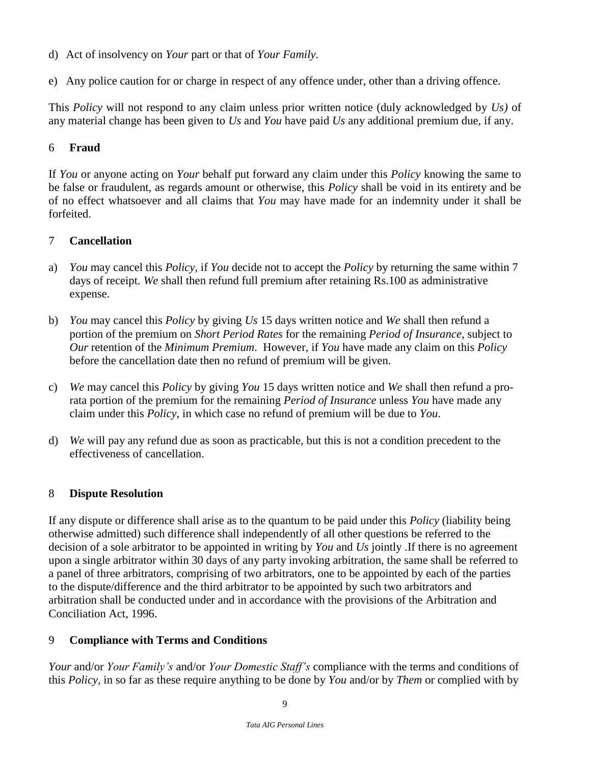- d) Act of insolvency on *Your* part or that of *Your Family*.
- e) Any police caution for or charge in respect of any offence under, other than a driving offence.

This *Policy* will not respond to any claim unless prior written notice (duly acknowledged by *Us)* of any material change has been given to *Us* and *You* have paid *Us* any additional premium due, if any.

### 6 **Fraud**

If *You* or anyone acting on *Your* behalf put forward any claim under this *Policy* knowing the same to be false or fraudulent, as regards amount or otherwise, this *Policy* shall be void in its entirety and be of no effect whatsoever and all claims that *You* may have made for an indemnity under it shall be forfeited.

## 7 **Cancellation**

- a) *You* may cancel this *Policy*, if *You* decide not to accept the *Policy* by returning the same within 7 days of receipt. *We* shall then refund full premium after retaining Rs.100 as administrative expense.
- b) *You* may cancel this *Policy* by giving *Us* 15 days written notice and *We* shall then refund a portion of the premium on *Short Period Rates* for the remaining *Period of Insurance*, subject to *Our* retention of the *Minimum Premium*. However, if *You* have made any claim on this *Policy*  before the cancellation date then no refund of premium will be given.
- c) *We* may cancel this *Policy* by giving *You* 15 days written notice and *We* shall then refund a prorata portion of the premium for the remaining *Period of Insurance* unless *You* have made any claim under this *Policy*, in which case no refund of premium will be due to *You*.
- d) *We* will pay any refund due as soon as practicable, but this is not a condition precedent to the effectiveness of cancellation.

## 8 **Dispute Resolution**

If any dispute or difference shall arise as to the quantum to be paid under this *Policy* (liability being otherwise admitted) such difference shall independently of all other questions be referred to the decision of a sole arbitrator to be appointed in writing by *You* and *Us* jointly .If there is no agreement upon a single arbitrator within 30 days of any party invoking arbitration, the same shall be referred to a panel of three arbitrators, comprising of two arbitrators, one to be appointed by each of the parties to the dispute/difference and the third arbitrator to be appointed by such two arbitrators and arbitration shall be conducted under and in accordance with the provisions of the Arbitration and Conciliation Act, 1996.

## 9 **Compliance with Terms and Conditions**

*Your* and/or *Your Family's* and/or *Your Domestic Staff's* compliance with the terms and conditions of this *Policy*, in so far as these require anything to be done by *You* and/or by *Them* or complied with by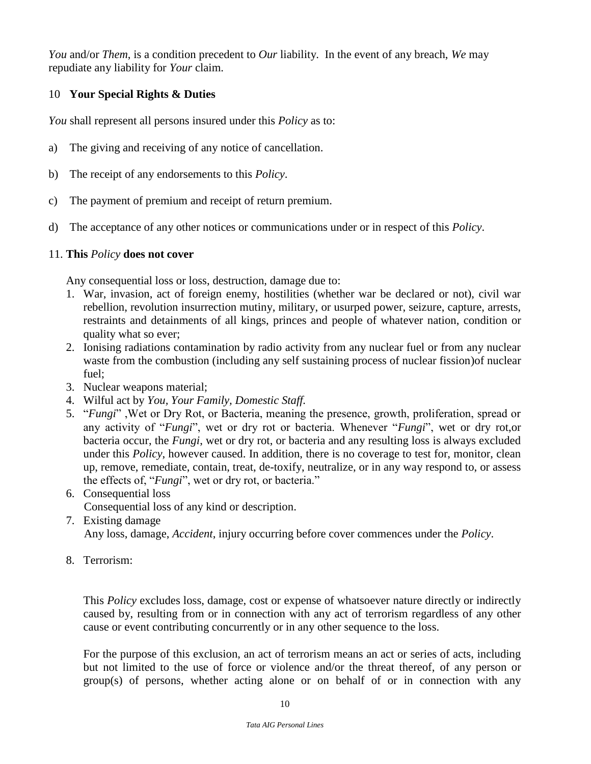*You* and/or *Them*, is a condition precedent to *Our* liability. In the event of any breach, *We* may repudiate any liability for *Your* claim.

## 10 **Your Special Rights & Duties**

*You* shall represent all persons insured under this *Policy* as to:

- a) The giving and receiving of any notice of cancellation.
- b) The receipt of any endorsements to this *Policy*.
- c) The payment of premium and receipt of return premium.
- d) The acceptance of any other notices or communications under or in respect of this *Policy*.

#### 11. **This** *Policy* **does not cover**

Any consequential loss or loss, destruction, damage due to:

- 1. War, invasion, act of foreign enemy, hostilities (whether war be declared or not), civil war rebellion, revolution insurrection mutiny, military, or usurped power, seizure, capture, arrests, restraints and detainments of all kings, princes and people of whatever nation, condition or quality what so ever;
- 2. Ionising radiations contamination by radio activity from any nuclear fuel or from any nuclear waste from the combustion (including any self sustaining process of nuclear fission)of nuclear fuel;
- 3. Nuclear weapons material;
- 4. Wilful act by *You, Your Family, Domestic Staff.*
- 5. "*Fungi*" ,Wet or Dry Rot, or Bacteria, meaning the presence, growth, proliferation, spread or any activity of "*Fungi*", wet or dry rot or bacteria. Whenever "*Fungi*", wet or dry rot,or bacteria occur, the *Fungi*, wet or dry rot, or bacteria and any resulting loss is always excluded under this *Policy*, however caused. In addition, there is no coverage to test for, monitor, clean up, remove, remediate, contain, treat, de-toxify, neutralize, or in any way respond to, or assess the effects of, "*Fungi*", wet or dry rot, or bacteria."
- 6. Consequential loss Consequential loss of any kind or description.
- 7. Existing damage

Any loss, damage, *Accident*, injury occurring before cover commences under the *Policy*.

8. Terrorism:

This *Policy* excludes loss, damage, cost or expense of whatsoever nature directly or indirectly caused by, resulting from or in connection with any act of terrorism regardless of any other cause or event contributing concurrently or in any other sequence to the loss.

For the purpose of this exclusion, an act of terrorism means an act or series of acts, including but not limited to the use of force or violence and/or the threat thereof, of any person or group(s) of persons, whether acting alone or on behalf of or in connection with any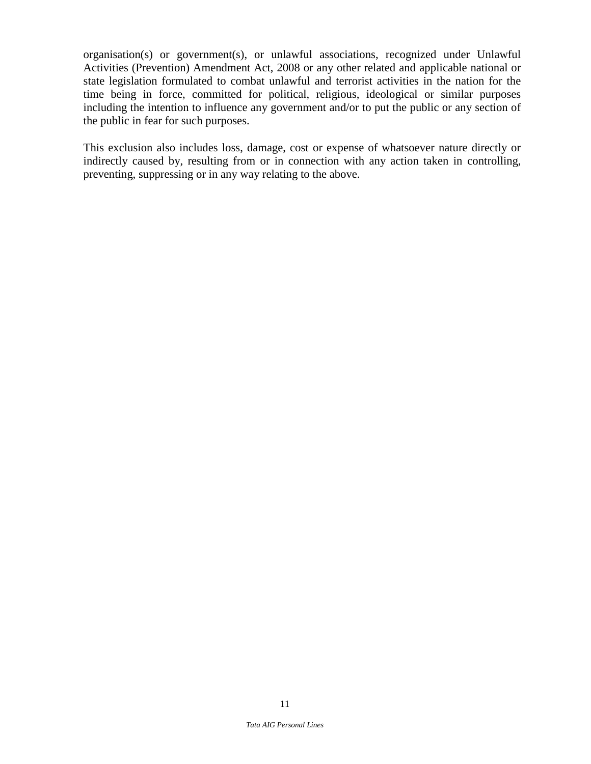organisation(s) or government(s), or unlawful associations, recognized under Unlawful Activities (Prevention) Amendment Act, 2008 or any other related and applicable national or state legislation formulated to combat unlawful and terrorist activities in the nation for the time being in force, committed for political, religious, ideological or similar purposes including the intention to influence any government and/or to put the public or any section of the public in fear for such purposes.

This exclusion also includes loss, damage, cost or expense of whatsoever nature directly or indirectly caused by, resulting from or in connection with any action taken in controlling, preventing, suppressing or in any way relating to the above.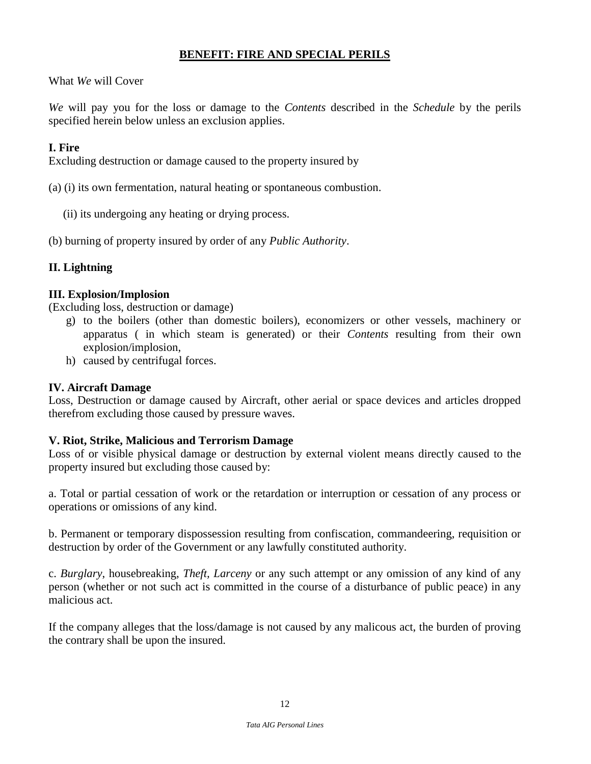## **BENEFIT: FIRE AND SPECIAL PERILS**

What *We* will Cover

*We* will pay you for the loss or damage to the *Contents* described in the *Schedule* by the perils specified herein below unless an exclusion applies.

## **I. Fire**

Excluding destruction or damage caused to the property insured by

- (a) (i) its own fermentation, natural heating or spontaneous combustion.
	- (ii) its undergoing any heating or drying process.
- (b) burning of property insured by order of any *Public Authority*.

## **II. Lightning**

## **III. Explosion/Implosion**

(Excluding loss, destruction or damage)

- g) to the boilers (other than domestic boilers), economizers or other vessels, machinery or apparatus ( in which steam is generated) or their *Contents* resulting from their own explosion/implosion,
- h) caused by centrifugal forces.

### **IV. Aircraft Damage**

Loss, Destruction or damage caused by Aircraft, other aerial or space devices and articles dropped therefrom excluding those caused by pressure waves.

## **V. Riot, Strike, Malicious and Terrorism Damage**

Loss of or visible physical damage or destruction by external violent means directly caused to the property insured but excluding those caused by:

a. Total or partial cessation of work or the retardation or interruption or cessation of any process or operations or omissions of any kind.

b. Permanent or temporary dispossession resulting from confiscation, commandeering, requisition or destruction by order of the Government or any lawfully constituted authority.

c. *Burglary*, housebreaking, *Theft, Larceny* or any such attempt or any omission of any kind of any person (whether or not such act is committed in the course of a disturbance of public peace) in any malicious act.

If the company alleges that the loss/damage is not caused by any malicous act, the burden of proving the contrary shall be upon the insured.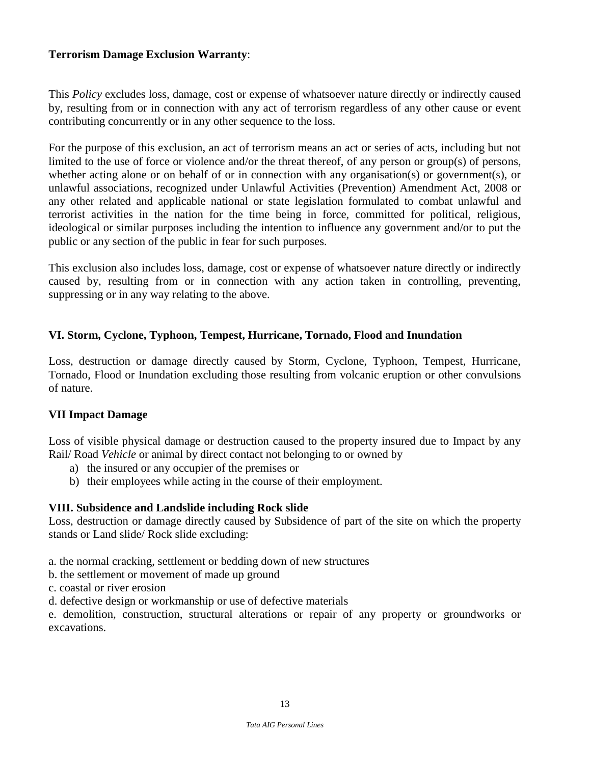#### **Terrorism Damage Exclusion Warranty**:

This *Policy* excludes loss, damage, cost or expense of whatsoever nature directly or indirectly caused by, resulting from or in connection with any act of terrorism regardless of any other cause or event contributing concurrently or in any other sequence to the loss.

For the purpose of this exclusion, an act of terrorism means an act or series of acts, including but not limited to the use of force or violence and/or the threat thereof, of any person or group(s) of persons, whether acting alone or on behalf of or in connection with any organisation(s) or government(s), or unlawful associations, recognized under Unlawful Activities (Prevention) Amendment Act, 2008 or any other related and applicable national or state legislation formulated to combat unlawful and terrorist activities in the nation for the time being in force, committed for political, religious, ideological or similar purposes including the intention to influence any government and/or to put the public or any section of the public in fear for such purposes.

This exclusion also includes loss, damage, cost or expense of whatsoever nature directly or indirectly caused by, resulting from or in connection with any action taken in controlling, preventing, suppressing or in any way relating to the above.

#### **VI. Storm, Cyclone, Typhoon, Tempest, Hurricane, Tornado, Flood and Inundation**

Loss, destruction or damage directly caused by Storm, Cyclone, Typhoon, Tempest, Hurricane, Tornado, Flood or Inundation excluding those resulting from volcanic eruption or other convulsions of nature.

#### **VII Impact Damage**

Loss of visible physical damage or destruction caused to the property insured due to Impact by any Rail/ Road *Vehicle* or animal by direct contact not belonging to or owned by

- a) the insured or any occupier of the premises or
- b) their employees while acting in the course of their employment.

#### **VIII. Subsidence and Landslide including Rock slide**

Loss, destruction or damage directly caused by Subsidence of part of the site on which the property stands or Land slide/ Rock slide excluding:

a. the normal cracking, settlement or bedding down of new structures

- b. the settlement or movement of made up ground
- c. coastal or river erosion

d. defective design or workmanship or use of defective materials

e. demolition, construction, structural alterations or repair of any property or groundworks or excavations.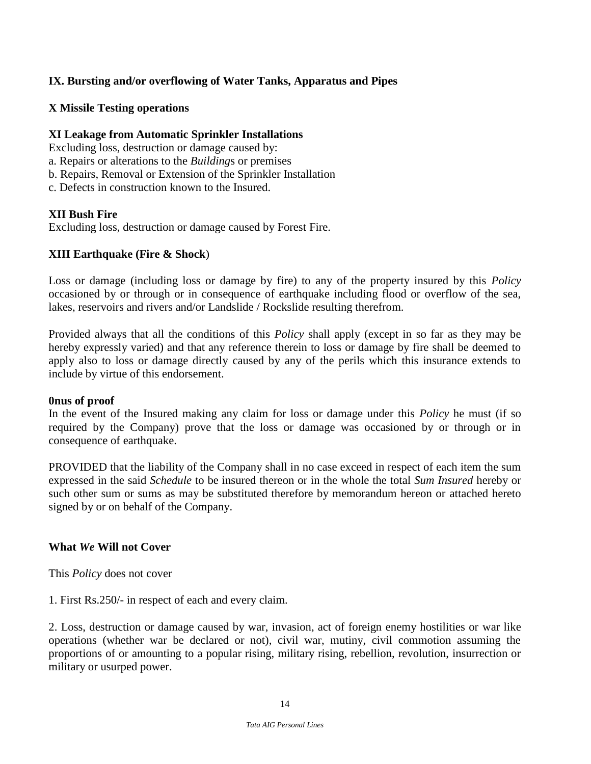## **IX. Bursting and/or overflowing of Water Tanks, Apparatus and Pipes**

#### **X Missile Testing operations**

### **XI Leakage from Automatic Sprinkler Installations**

Excluding loss, destruction or damage caused by:

- a. Repairs or alterations to the *Building*s or premises
- b. Repairs, Removal or Extension of the Sprinkler Installation
- c. Defects in construction known to the Insured.

## **XII Bush Fire**

Excluding loss, destruction or damage caused by Forest Fire.

## **XIII Earthquake (Fire & Shock**)

Loss or damage (including loss or damage by fire) to any of the property insured by this *Policy* occasioned by or through or in consequence of earthquake including flood or overflow of the sea, lakes, reservoirs and rivers and/or Landslide / Rockslide resulting therefrom.

Provided always that all the conditions of this *Policy* shall apply (except in so far as they may be hereby expressly varied) and that any reference therein to loss or damage by fire shall be deemed to apply also to loss or damage directly caused by any of the perils which this insurance extends to include by virtue of this endorsement.

#### **0nus of proof**

In the event of the Insured making any claim for loss or damage under this *Policy* he must (if so required by the Company) prove that the loss or damage was occasioned by or through or in consequence of earthquake.

PROVIDED that the liability of the Company shall in no case exceed in respect of each item the sum expressed in the said *Schedule* to be insured thereon or in the whole the total *Sum Insured* hereby or such other sum or sums as may be substituted therefore by memorandum hereon or attached hereto signed by or on behalf of the Company.

#### **What** *We* **Will not Cover**

This *Policy* does not cover

1. First Rs.250/- in respect of each and every claim.

2. Loss, destruction or damage caused by war, invasion, act of foreign enemy hostilities or war like operations (whether war be declared or not), civil war, mutiny, civil commotion assuming the proportions of or amounting to a popular rising, military rising, rebellion, revolution, insurrection or military or usurped power.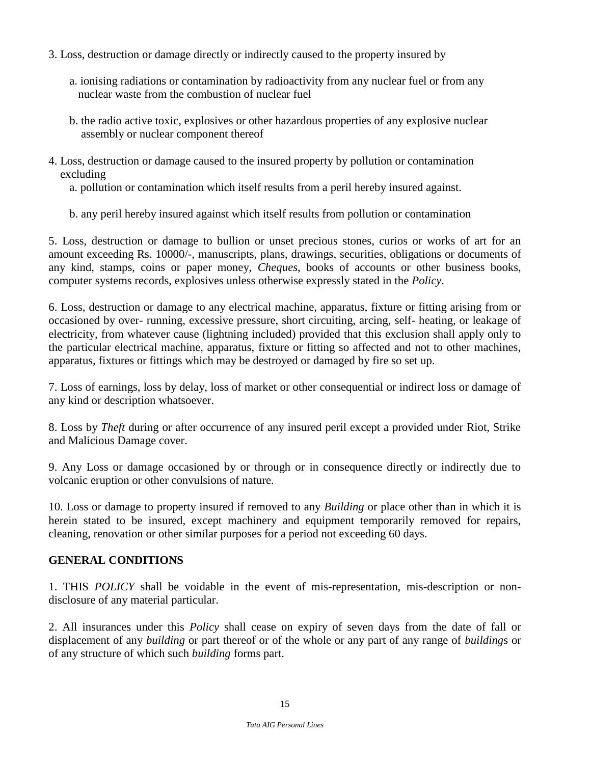- 3. Loss, destruction or damage directly or indirectly caused to the property insured by
	- a. ionising radiations or contamination by radioactivity from any nuclear fuel or from any nuclear waste from the combustion of nuclear fuel
	- b. the radio active toxic, explosives or other hazardous properties of any explosive nuclear assembly or nuclear component thereof
- 4. Loss, destruction or damage caused to the insured property by pollution or contamination excluding

a. pollution or contamination which itself results from a peril hereby insured against.

b. any peril hereby insured against which itself results from pollution or contamination

5. Loss, destruction or damage to bullion or unset precious stones, curios or works of art for an amount exceeding Rs. 10000/-, manuscripts, plans, drawings, securities, obligations or documents of any kind, stamps, coins or paper money, *Cheques*, books of accounts or other business books, computer systems records, explosives unless otherwise expressly stated in the *Policy*.

6. Loss, destruction or damage to any electrical machine, apparatus, fixture or fitting arising from or occasioned by over- running, excessive pressure, short circuiting, arcing, self- heating, or leakage of electricity, from whatever cause (lightning included) provided that this exclusion shall apply only to the particular electrical machine, apparatus, fixture or fitting so affected and not to other machines, apparatus, fixtures or fittings which may be destroyed or damaged by fire so set up.

7. Loss of earnings, loss by delay, loss of market or other consequential or indirect loss or damage of any kind or description whatsoever.

8. Loss by *Theft* during or after occurrence of any insured peril except a provided under Riot, Strike and Malicious Damage cover.

9. Any Loss or damage occasioned by or through or in consequence directly or indirectly due to volcanic eruption or other convulsions of nature.

10. Loss or damage to property insured if removed to any *Building* or place other than in which it is herein stated to be insured, except machinery and equipment temporarily removed for repairs, cleaning, renovation or other similar purposes for a period not exceeding 60 days.

## **GENERAL CONDITIONS**

1. THIS *POLICY* shall be voidable in the event of mis-representation, mis-description or nondisclosure of any material particular.

2. All insurances under this *Policy* shall cease on expiry of seven days from the date of fall or displacement of any *building* or part thereof or of the whole or any part of any range of *building*s or of any structure of which such *building* forms part.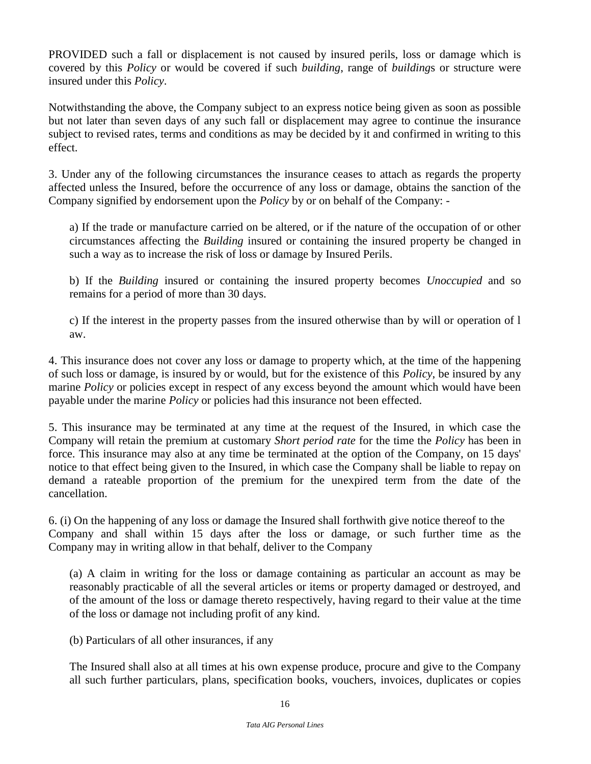PROVIDED such a fall or displacement is not caused by insured perils, loss or damage which is covered by this *Policy* or would be covered if such *building*, range of *building*s or structure were insured under this *Policy*.

Notwithstanding the above, the Company subject to an express notice being given as soon as possible but not later than seven days of any such fall or displacement may agree to continue the insurance subject to revised rates, terms and conditions as may be decided by it and confirmed in writing to this effect.

3. Under any of the following circumstances the insurance ceases to attach as regards the property affected unless the Insured, before the occurrence of any loss or damage, obtains the sanction of the Company signified by endorsement upon the *Policy* by or on behalf of the Company: -

a) If the trade or manufacture carried on be altered, or if the nature of the occupation of or other circumstances affecting the *Building* insured or containing the insured property be changed in such a way as to increase the risk of loss or damage by Insured Perils.

b) If the *Building* insured or containing the insured property becomes *Unoccupied* and so remains for a period of more than 30 days.

c) If the interest in the property passes from the insured otherwise than by will or operation of l aw.

4. This insurance does not cover any loss or damage to property which, at the time of the happening of such loss or damage, is insured by or would, but for the existence of this *Policy*, be insured by any marine *Policy* or policies except in respect of any excess beyond the amount which would have been payable under the marine *Policy* or policies had this insurance not been effected.

5. This insurance may be terminated at any time at the request of the Insured, in which case the Company will retain the premium at customary *Short period rate* for the time the *Policy* has been in force. This insurance may also at any time be terminated at the option of the Company, on 15 days' notice to that effect being given to the Insured, in which case the Company shall be liable to repay on demand a rateable proportion of the premium for the unexpired term from the date of the cancellation.

6. (i) On the happening of any loss or damage the Insured shall forthwith give notice thereof to the Company and shall within 15 days after the loss or damage, or such further time as the Company may in writing allow in that behalf, deliver to the Company

(a) A claim in writing for the loss or damage containing as particular an account as may be reasonably practicable of all the several articles or items or property damaged or destroyed, and of the amount of the loss or damage thereto respectively, having regard to their value at the time of the loss or damage not including profit of any kind.

(b) Particulars of all other insurances, if any

The Insured shall also at all times at his own expense produce, procure and give to the Company all such further particulars, plans, specification books, vouchers, invoices, duplicates or copies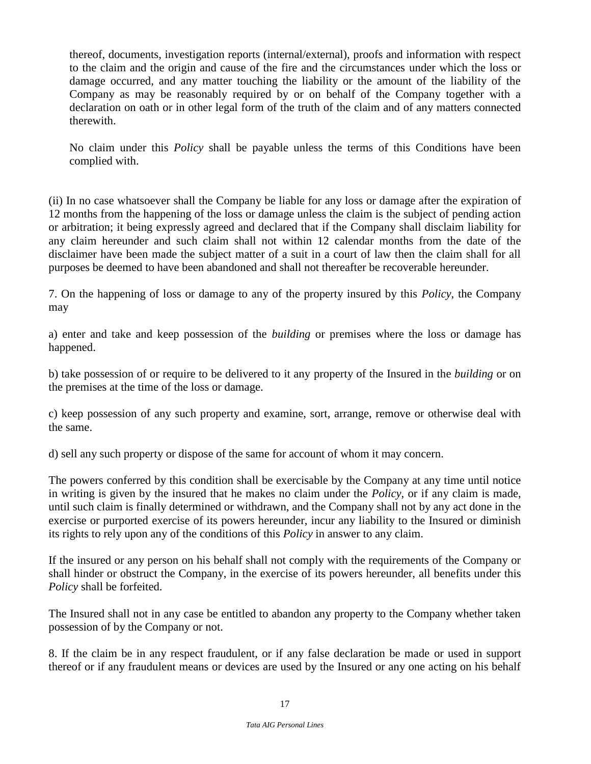thereof, documents, investigation reports (internal/external), proofs and information with respect to the claim and the origin and cause of the fire and the circumstances under which the loss or damage occurred, and any matter touching the liability or the amount of the liability of the Company as may be reasonably required by or on behalf of the Company together with a declaration on oath or in other legal form of the truth of the claim and of any matters connected therewith.

No claim under this *Policy* shall be payable unless the terms of this Conditions have been complied with.

(ii) In no case whatsoever shall the Company be liable for any loss or damage after the expiration of 12 months from the happening of the loss or damage unless the claim is the subject of pending action or arbitration; it being expressly agreed and declared that if the Company shall disclaim liability for any claim hereunder and such claim shall not within 12 calendar months from the date of the disclaimer have been made the subject matter of a suit in a court of law then the claim shall for all purposes be deemed to have been abandoned and shall not thereafter be recoverable hereunder.

7. On the happening of loss or damage to any of the property insured by this *Policy*, the Company may

a) enter and take and keep possession of the *building* or premises where the loss or damage has happened.

b) take possession of or require to be delivered to it any property of the Insured in the *building* or on the premises at the time of the loss or damage.

c) keep possession of any such property and examine, sort, arrange, remove or otherwise deal with the same.

d) sell any such property or dispose of the same for account of whom it may concern.

The powers conferred by this condition shall be exercisable by the Company at any time until notice in writing is given by the insured that he makes no claim under the *Policy*, or if any claim is made, until such claim is finally determined or withdrawn, and the Company shall not by any act done in the exercise or purported exercise of its powers hereunder, incur any liability to the Insured or diminish its rights to rely upon any of the conditions of this *Policy* in answer to any claim.

If the insured or any person on his behalf shall not comply with the requirements of the Company or shall hinder or obstruct the Company, in the exercise of its powers hereunder, all benefits under this *Policy* shall be forfeited.

The Insured shall not in any case be entitled to abandon any property to the Company whether taken possession of by the Company or not.

8. If the claim be in any respect fraudulent, or if any false declaration be made or used in support thereof or if any fraudulent means or devices are used by the Insured or any one acting on his behalf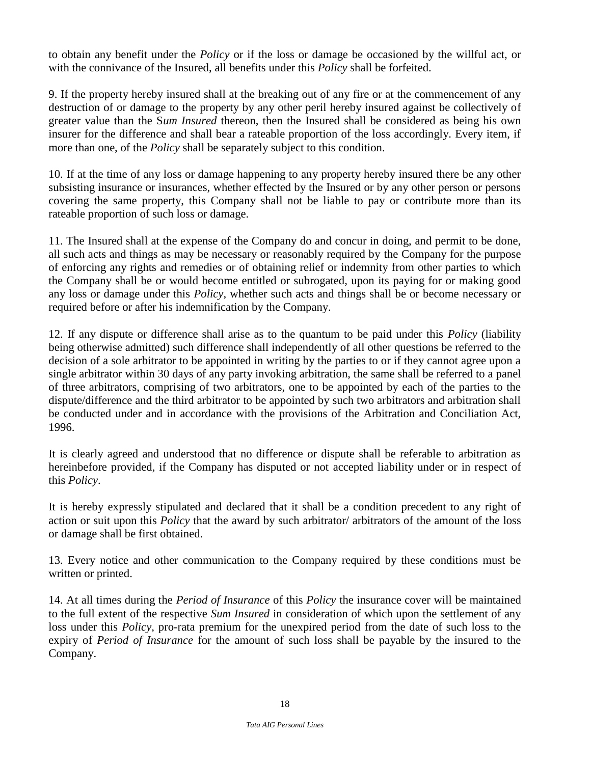to obtain any benefit under the *Policy* or if the loss or damage be occasioned by the willful act, or with the connivance of the Insured, all benefits under this *Policy* shall be forfeited.

9. If the property hereby insured shall at the breaking out of any fire or at the commencement of any destruction of or damage to the property by any other peril hereby insured against be collectively of greater value than the S*um Insured* thereon, then the Insured shall be considered as being his own insurer for the difference and shall bear a rateable proportion of the loss accordingly. Every item, if more than one, of the *Policy* shall be separately subject to this condition.

10. If at the time of any loss or damage happening to any property hereby insured there be any other subsisting insurance or insurances, whether effected by the Insured or by any other person or persons covering the same property, this Company shall not be liable to pay or contribute more than its rateable proportion of such loss or damage.

11. The Insured shall at the expense of the Company do and concur in doing, and permit to be done, all such acts and things as may be necessary or reasonably required by the Company for the purpose of enforcing any rights and remedies or of obtaining relief or indemnity from other parties to which the Company shall be or would become entitled or subrogated, upon its paying for or making good any loss or damage under this *Policy*, whether such acts and things shall be or become necessary or required before or after his indemnification by the Company.

12. If any dispute or difference shall arise as to the quantum to be paid under this *Policy* (liability being otherwise admitted) such difference shall independently of all other questions be referred to the decision of a sole arbitrator to be appointed in writing by the parties to or if they cannot agree upon a single arbitrator within 30 days of any party invoking arbitration, the same shall be referred to a panel of three arbitrators, comprising of two arbitrators, one to be appointed by each of the parties to the dispute/difference and the third arbitrator to be appointed by such two arbitrators and arbitration shall be conducted under and in accordance with the provisions of the Arbitration and Conciliation Act, 1996.

It is clearly agreed and understood that no difference or dispute shall be referable to arbitration as hereinbefore provided, if the Company has disputed or not accepted liability under or in respect of this *Policy*.

It is hereby expressly stipulated and declared that it shall be a condition precedent to any right of action or suit upon this *Policy* that the award by such arbitrator/ arbitrators of the amount of the loss or damage shall be first obtained.

13. Every notice and other communication to the Company required by these conditions must be written or printed.

14. At all times during the *Period of Insurance* of this *Policy* the insurance cover will be maintained to the full extent of the respective *Sum Insured* in consideration of which upon the settlement of any loss under this *Policy*, pro-rata premium for the unexpired period from the date of such loss to the expiry of *Period of Insurance* for the amount of such loss shall be payable by the insured to the Company.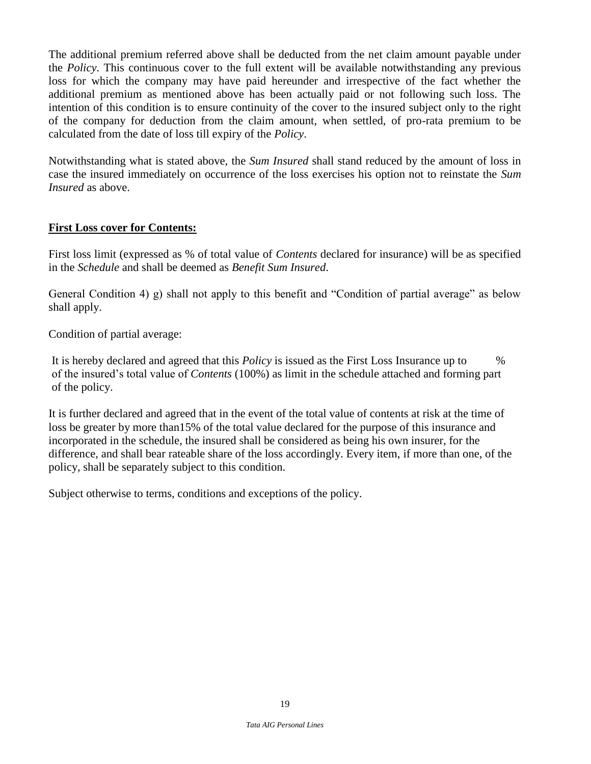The additional premium referred above shall be deducted from the net claim amount payable under the *Policy*. This continuous cover to the full extent will be available notwithstanding any previous loss for which the company may have paid hereunder and irrespective of the fact whether the additional premium as mentioned above has been actually paid or not following such loss. The intention of this condition is to ensure continuity of the cover to the insured subject only to the right of the company for deduction from the claim amount, when settled, of pro-rata premium to be calculated from the date of loss till expiry of the *Policy*.

Notwithstanding what is stated above, the *Sum Insured* shall stand reduced by the amount of loss in case the insured immediately on occurrence of the loss exercises his option not to reinstate the *Sum Insured* as above.

## **First Loss cover for Contents:**

First loss limit (expressed as % of total value of *Contents* declared for insurance) will be as specified in the *Schedule* and shall be deemed as *Benefit Sum Insured*.

General Condition 4) g) shall not apply to this benefit and "Condition of partial average" as below shall apply.

Condition of partial average:

It is hereby declared and agreed that this *Policy* is issued as the First Loss Insurance up to % of the insured's total value of *Contents* (100%) as limit in the schedule attached and forming part of the policy.

It is further declared and agreed that in the event of the total value of contents at risk at the time of loss be greater by more than15% of the total value declared for the purpose of this insurance and incorporated in the schedule, the insured shall be considered as being his own insurer, for the difference, and shall bear rateable share of the loss accordingly. Every item, if more than one, of the policy, shall be separately subject to this condition.

Subject otherwise to terms, conditions and exceptions of the policy.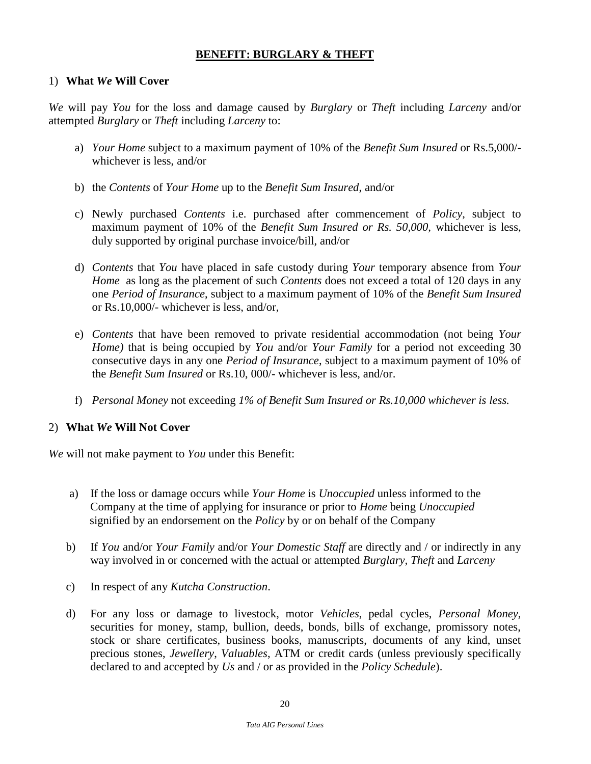## **BENEFIT: BURGLARY & THEFT**

### 1) **What** *We* **Will Cover**

*We* will pay *You* for the loss and damage caused by *Burglary* or *Theft* including *Larceny* and/or attempted *Burglary* or *Theft* including *Larceny* to:

- a) *Your Home* subject to a maximum payment of 10% of the *Benefit Sum Insured* or Rs.5,000/ whichever is less, and/or
- b) the *Contents* of *Your Home* up to the *Benefit Sum Insured*, and/or
- c) Newly purchased *Contents* i.e. purchased after commencement of *Policy*, subject to maximum payment of 10% of the *Benefit Sum Insured or Rs. 50,000,* whichever is less, duly supported by original purchase invoice/bill, and/or
- d) *Contents* that *You* have placed in safe custody during *Your* temporary absence from *Your Home* as long as the placement of such *Contents* does not exceed a total of 120 days in any one *Period of Insurance*, subject to a maximum payment of 10% of the *Benefit Sum Insured* or Rs.10,000/- whichever is less, and/or,
- e) *Contents* that have been removed to private residential accommodation (not being *Your Home)* that is being occupied by *You* and/or *Your Family* for a period not exceeding 30 consecutive days in any one *Period of Insurance*, subject to a maximum payment of 10% of the *Benefit Sum Insured* or Rs.10, 000/- whichever is less, and/or.
- f) *Personal Money* not exceeding *1% of Benefit Sum Insured or Rs.10,000 whichever is less.*

#### 2) **What** *We* **Will Not Cover**

*We* will not make payment to *You* under this Benefit:

- a) If the loss or damage occurs while *Your Home* is *Unoccupied* unless informed to the Company at the time of applying for insurance or prior to *Home* being *Unoccupied* signified by an endorsement on the *Policy* by or on behalf of the Company
- b) If *You* and/or *Your Family* and/or *Your Domestic Staff* are directly and / or indirectly in any way involved in or concerned with the actual or attempted *Burglary, Theft* and *Larceny*
- c) In respect of any *Kutcha Construction*.
- d) For any loss or damage to livestock, motor *Vehicles*, pedal cycles, *Personal Money,* securities for money, stamp, bullion, deeds, bonds, bills of exchange, promissory notes, stock or share certificates, business books, manuscripts, documents of any kind, unset precious stones, *Jewellery*, *Valuables*, ATM or credit cards (unless previously specifically declared to and accepted by *Us* and / or as provided in the *Policy Schedule*).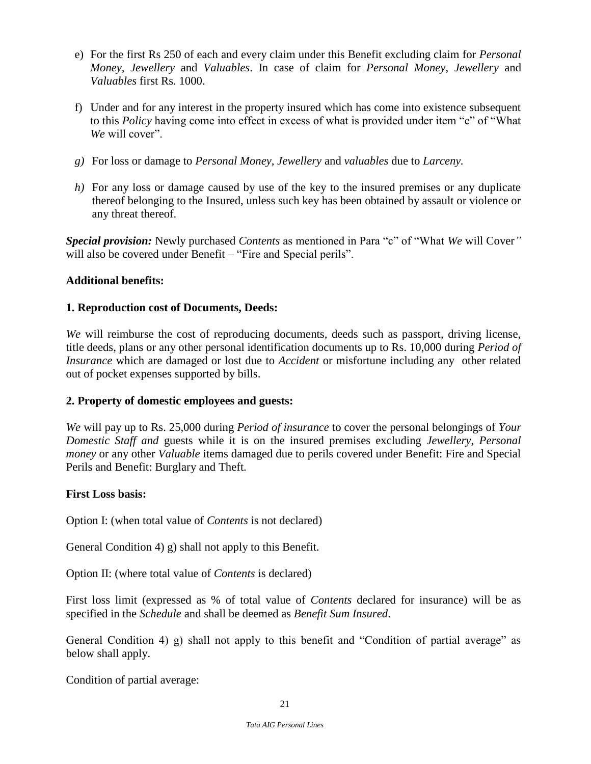- e) For the first Rs 250 of each and every claim under this Benefit excluding claim for *Personal Money, Jewellery* and *Valuables*. In case of claim for *Personal Money*, *Jewellery* and *Valuables* first Rs. 1000.
- f) Under and for any interest in the property insured which has come into existence subsequent to this *Policy* having come into effect in excess of what is provided under item "c" of "What *We* will cover".
- *g)* For loss or damage to *Personal Money, Jewellery* and *valuables* due to *Larceny.*
- *h)* For any loss or damage caused by use of the key to the insured premises or any duplicate thereof belonging to the Insured, unless such key has been obtained by assault or violence or any threat thereof.

*Special provision:* Newly purchased *Contents* as mentioned in Para "c" of "What *We* will Cover*"*  will also be covered under Benefit – "Fire and Special perils".

## **Additional benefits:**

## **1. Reproduction cost of Documents, Deeds:**

*We* will reimburse the cost of reproducing documents, deeds such as passport, driving license, title deeds, plans or any other personal identification documents up to Rs. 10,000 during *Period of Insurance* which are damaged or lost due to *Accident* or misfortune including any other related out of pocket expenses supported by bills.

#### **2. Property of domestic employees and guests:**

*We* will pay up to Rs. 25,000 during *Period of insurance* to cover the personal belongings of *Your Domestic Staff and* guests while it is on the insured premises excluding *Jewellery*, *Personal money* or any other *Valuable* items damaged due to perils covered under Benefit: Fire and Special Perils and Benefit: Burglary and Theft*.* 

#### **First Loss basis:**

Option I: (when total value of *Contents* is not declared)

General Condition 4) g) shall not apply to this Benefit.

Option II: (where total value of *Contents* is declared)

First loss limit (expressed as % of total value of *Contents* declared for insurance) will be as specified in the *Schedule* and shall be deemed as *Benefit Sum Insured*.

General Condition 4) g) shall not apply to this benefit and "Condition of partial average" as below shall apply.

Condition of partial average: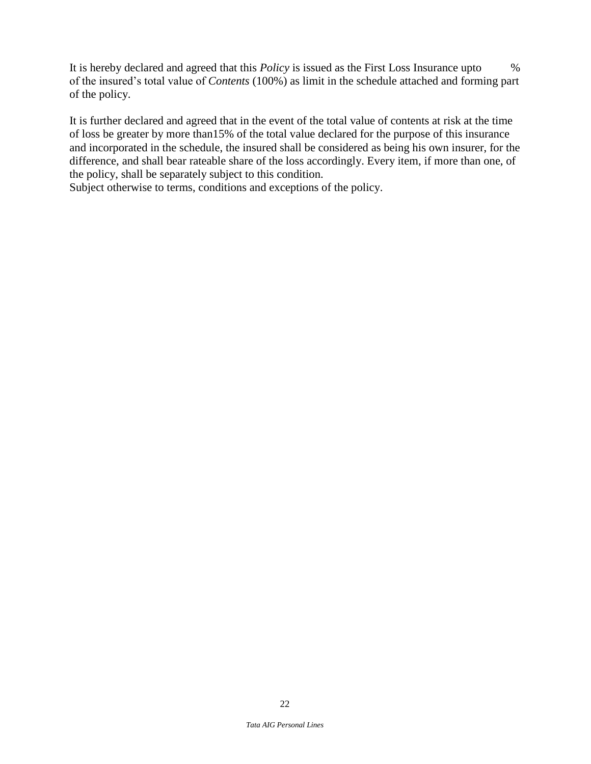It is hereby declared and agreed that this *Policy* is issued as the First Loss Insurance upto % of the insured's total value of *Contents* (100%) as limit in the schedule attached and forming part of the policy.

It is further declared and agreed that in the event of the total value of contents at risk at the time of loss be greater by more than15% of the total value declared for the purpose of this insurance and incorporated in the schedule, the insured shall be considered as being his own insurer, for the difference, and shall bear rateable share of the loss accordingly. Every item, if more than one, of the policy, shall be separately subject to this condition.

Subject otherwise to terms, conditions and exceptions of the policy.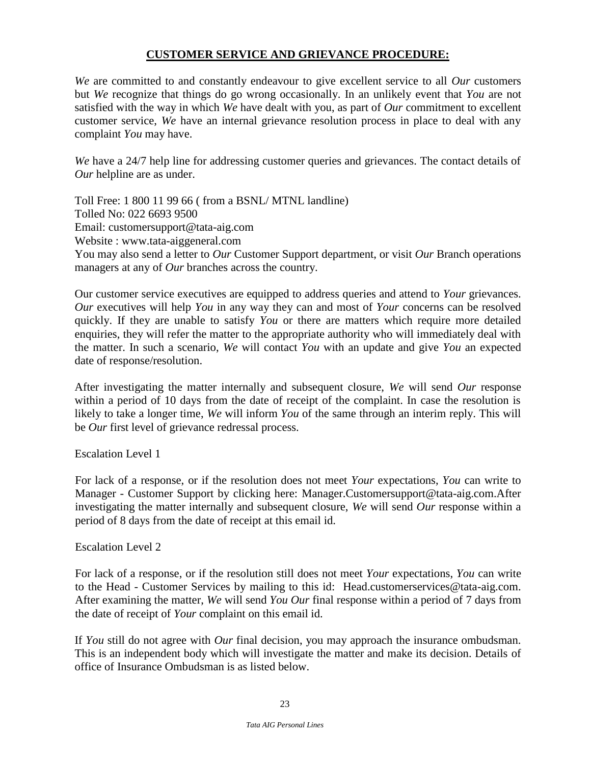## **CUSTOMER SERVICE AND GRIEVANCE PROCEDURE:**

*We* are committed to and constantly endeavour to give excellent service to all *Our* customers but *We* recognize that things do go wrong occasionally. In an unlikely event that *You* are not satisfied with the way in which *We* have dealt with you, as part of *Our* commitment to excellent customer service, *We* have an internal grievance resolution process in place to deal with any complaint *You* may have.

*We* have a 24/7 help line for addressing customer queries and grievances. The contact details of *Our* helpline are as under.

Toll Free: 1 800 11 99 66 ( from a BSNL/ MTNL landline) Tolled No: 022 6693 9500 Email: [customersupport@tata-aig.com](mailto:customersupport@tata-aig.com) Website : www.tata-aiggeneral.com You may also send a letter to *Our* Customer Support department, or visit *Our* Branch operations managers at any of *Our* branches across the country.

Our customer service executives are equipped to address queries and attend to *Your* grievances. *Our* executives will help *You* in any way they can and most of *Your* concerns can be resolved quickly. If they are unable to satisfy *You* or there are matters which require more detailed enquiries, they will refer the matter to the appropriate authority who will immediately deal with the matter. In such a scenario, *We* will contact *You* with an update and give *You* an expected date of response/resolution.

After investigating the matter internally and subsequent closure, *We* will send *Our* response within a period of 10 days from the date of receipt of the complaint. In case the resolution is likely to take a longer time, *We* will inform *You* of the same through an interim reply. This will be *Our* first level of grievance redressal process.

Escalation Level 1

For lack of a response, or if the resolution does not meet *Your* expectations, *You* can write to Manager - Customer Support by clicking here: [Manager.Customersupport@tata-aig.com.](mailto:Manager.Customersupport@tata-aig.com)After investigating the matter internally and subsequent closure, *We* will send *Our* response within a period of 8 days from the date of receipt at this email id.

Escalation Level 2

For lack of a response, or if the resolution still does not meet *Your* expectations, *You* can write to the Head - Customer Services by mailing to this id: [Head.customerservices@tata-aig.com.](mailto:Head.customerservices@tata-aig.com) After examining the matter, *We* will send *You Our* final response within a period of 7 days from the date of receipt of *Your* complaint on this email id.

If *You* still do not agree with *Our* final decision, you may approach the insurance ombudsman. This is an independent body which will investigate the matter and make its decision. Details of office of Insurance Ombudsman is as listed below.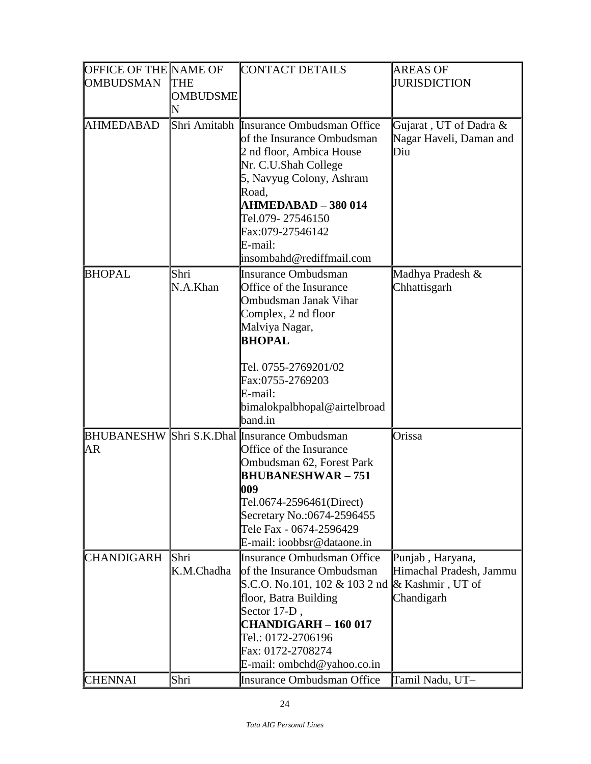| OFFICE OF THE NAME OF |                 | <b>CONTACT DETAILS</b>                       | <b>AREAS OF</b>         |
|-----------------------|-----------------|----------------------------------------------|-------------------------|
| <b>OMBUDSMAN</b>      | <b>THE</b>      |                                              | <b>JURISDICTION</b>     |
|                       | <b>OMBUDSME</b> |                                              |                         |
|                       | N               |                                              |                         |
| <b>AHMEDABAD</b>      |                 | Shri Amitabh Insurance Ombudsman Office      | Gujarat, UT of Dadra &  |
|                       |                 | of the Insurance Ombudsman                   | Nagar Haveli, Daman and |
|                       |                 | 2 nd floor, Ambica House                     | Diu                     |
|                       |                 | Nr. C.U.Shah College                         |                         |
|                       |                 | 5, Navyug Colony, Ashram                     |                         |
|                       |                 | Road,                                        |                         |
|                       |                 | <b>AHMEDABAD - 380 014</b>                   |                         |
|                       |                 | Tel.079-27546150                             |                         |
|                       |                 | Fax:079-27546142                             |                         |
|                       |                 | E-mail:                                      |                         |
|                       |                 | insombahd@rediffmail.com                     |                         |
| <b>BHOPAL</b>         | Shri            | <b>Insurance Ombudsman</b>                   | Madhya Pradesh &        |
|                       | N.A.Khan        | Office of the Insurance                      | Chhattisgarh            |
|                       |                 | Ombudsman Janak Vihar                        |                         |
|                       |                 | Complex, 2 nd floor                          |                         |
|                       |                 | Malviya Nagar,<br><b>BHOPAL</b>              |                         |
|                       |                 |                                              |                         |
|                       |                 | Tel. 0755-2769201/02                         |                         |
|                       |                 | Fax:0755-2769203                             |                         |
|                       |                 | E-mail:                                      |                         |
|                       |                 | bimalokpalbhopal@airtelbroad                 |                         |
|                       |                 | band.in                                      |                         |
|                       |                 | BHUBANESHW Shri S.K.Dhal Insurance Ombudsman | Orissa                  |
| AR                    |                 | Office of the Insurance                      |                         |
|                       |                 | Ombudsman 62, Forest Park                    |                         |
|                       |                 | <b>BHUBANESHWAR – 751</b>                    |                         |
|                       |                 | 009                                          |                         |
|                       |                 | Tel.0674-2596461(Direct)                     |                         |
|                       |                 | Secretary No.:0674-2596455                   |                         |
|                       |                 | Tele Fax - 0674-2596429                      |                         |
|                       |                 | E-mail: ioobbsr@dataone.in                   |                         |
| <b>CHANDIGARH</b>     | Shri            | <b>Insurance Ombudsman Office</b>            | Punjab, Haryana,        |
|                       | K.M.Chadha      | of the Insurance Ombudsman                   | Himachal Pradesh, Jammu |
|                       |                 | S.C.O. No.101, 102 & 103 2 nd                | & Kashmir, UT of        |
|                       |                 | floor, Batra Building                        | Chandigarh              |
|                       |                 | Sector 17-D,                                 |                         |
|                       |                 | <b>CHANDIGARH - 160 017</b>                  |                         |
|                       |                 | Tel.: 0172-2706196                           |                         |
|                       |                 | Fax: 0172-2708274                            |                         |
|                       |                 | E-mail: ombchd@yahoo.co.in                   |                         |
| <b>CHENNAI</b>        | Shri            | <b>Insurance Ombudsman Office</b>            | Tamil Nadu, UT-         |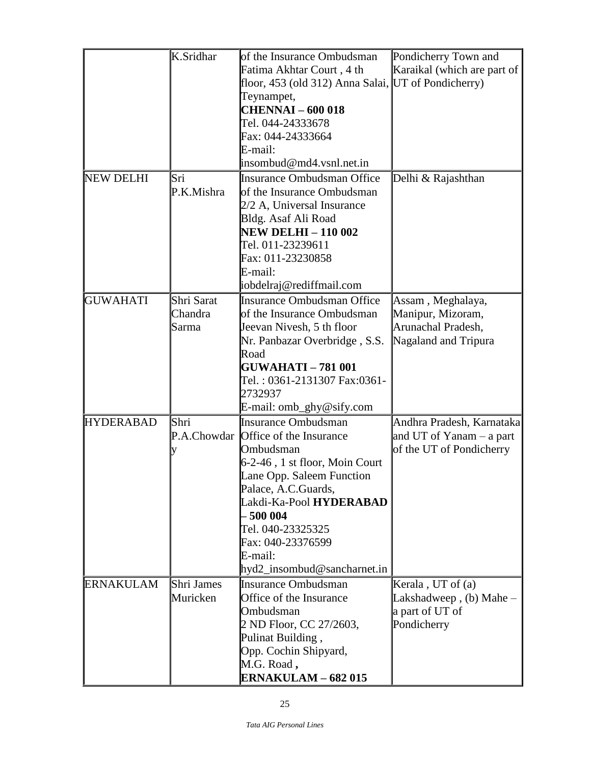|                  | K.Sridhar  | of the Insurance Ombudsman                          | Pondicherry Town and        |
|------------------|------------|-----------------------------------------------------|-----------------------------|
|                  |            | Fatima Akhtar Court, 4 th                           | Karaikal (which are part of |
|                  |            | floor, 453 (old 312) Anna Salai, UT of Pondicherry) |                             |
|                  |            | Teynampet,                                          |                             |
|                  |            | <b>CHENNAI - 600 018</b>                            |                             |
|                  |            | Tel. 044-24333678                                   |                             |
|                  |            | Fax: 044-24333664                                   |                             |
|                  |            | E-mail:                                             |                             |
|                  |            | insombud@md4.vsnl.net.in                            |                             |
| <b>NEW DELHI</b> | Sri        | <b>Insurance Ombudsman Office</b>                   | Delhi & Rajashthan          |
|                  | P.K.Mishra | of the Insurance Ombudsman                          |                             |
|                  |            | 2/2 A, Universal Insurance                          |                             |
|                  |            | Bldg. Asaf Ali Road                                 |                             |
|                  |            | <b>NEW DELHI - 110 002</b>                          |                             |
|                  |            | Tel. 011-23239611                                   |                             |
|                  |            | Fax: 011-23230858                                   |                             |
|                  |            | E-mail:                                             |                             |
|                  |            | iobdelraj@rediffmail.com                            |                             |
| <b>GUWAHATI</b>  | Shri Sarat | Insurance Ombudsman Office                          | Assam, Meghalaya,           |
|                  | Chandra    | of the Insurance Ombudsman                          | Manipur, Mizoram,           |
|                  | Sarma      | Jeevan Nivesh, 5 th floor                           | Arunachal Pradesh,          |
|                  |            | Nr. Panbazar Overbridge, S.S.                       | Nagaland and Tripura        |
|                  |            | Road                                                |                             |
|                  |            | <b>GUWAHATI - 781 001</b>                           |                             |
|                  |            | Tel.: 0361-2131307 Fax:0361-                        |                             |
|                  |            | 2732937                                             |                             |
|                  |            | E-mail: omb_ghy@sify.com                            |                             |
| <b>HYDERABAD</b> | Shri       | Insurance Ombudsman                                 | Andhra Pradesh, Karnataka   |
|                  |            | P.A.Chowdar Office of the Insurance                 | and UT of Yanam $-$ a part  |
|                  | y          | Ombudsman                                           | of the UT of Pondicherry    |
|                  |            | 6-2-46, 1 st floor, Moin Court                      |                             |
|                  |            | Lane Opp. Saleem Function                           |                             |
|                  |            | Palace, A.C.Guards,                                 |                             |
|                  |            | Lakdi-Ka-Pool HYDERABAD                             |                             |
|                  |            | 500 004                                             |                             |
|                  |            | Tel. 040-23325325                                   |                             |
|                  |            | Fax: 040-23376599                                   |                             |
|                  |            | E-mail:                                             |                             |
|                  |            | hyd2_insombud@sancharnet.in                         |                             |
| <b>ERNAKULAM</b> | Shri James | <b>Insurance Ombudsman</b>                          | Kerala, UT of (a)           |
|                  | Muricken   | Office of the Insurance                             | Lakshadweep, $(b)$ Mahe $-$ |
|                  |            | Ombudsman                                           | a part of UT of             |
|                  |            | 2 ND Floor, CC 27/2603,                             | Pondicherry                 |
|                  |            | Pulinat Building,                                   |                             |
|                  |            | Opp. Cochin Shipyard,                               |                             |
|                  |            | M.G. Road,                                          |                             |
|                  |            | <b>ERNAKULAM - 682 015</b>                          |                             |